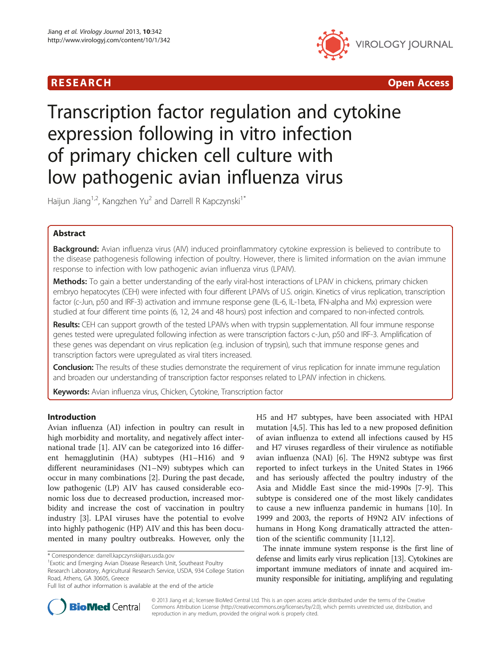

R E S EAR CH Open Access

# Transcription factor regulation and cytokine expression following in vitro infection of primary chicken cell culture with low pathogenic avian influenza virus

Haijun Jiang<sup>1,2</sup>, Kangzhen Yu<sup>2</sup> and Darrell R Kapczynski<sup>1\*</sup>

# Abstract

**Background:** Avian influenza virus (AIV) induced proinflammatory cytokine expression is believed to contribute to the disease pathogenesis following infection of poultry. However, there is limited information on the avian immune response to infection with low pathogenic avian influenza virus (LPAIV).

Methods: To gain a better understanding of the early viral-host interactions of LPAIV in chickens, primary chicken embryo hepatocytes (CEH) were infected with four different LPAIVs of U.S. origin. Kinetics of virus replication, transcription factor (c-Jun, p50 and IRF-3) activation and immune response gene (IL-6, IL-1beta, IFN-alpha and Mx) expression were studied at four different time points (6, 12, 24 and 48 hours) post infection and compared to non-infected controls.

Results: CEH can support growth of the tested LPAIVs when with trypsin supplementation. All four immune response genes tested were upregulated following infection as were transcription factors c-Jun, p50 and IRF-3. Amplification of these genes was dependant on virus replication (e.g. inclusion of trypsin), such that immune response genes and transcription factors were upregulated as viral titers increased.

**Conclusion:** The results of these studies demonstrate the requirement of virus replication for innate immune regulation and broaden our understanding of transcription factor responses related to LPAIV infection in chickens.

Keywords: Avian influenza virus, Chicken, Cytokine, Transcription factor

# Introduction

Avian influenza (AI) infection in poultry can result in high morbidity and mortality, and negatively affect international trade [\[1](#page-6-0)]. AIV can be categorized into 16 different hemagglutinin (HA) subtypes (H1–H16) and 9 different neuraminidases (N1–N9) subtypes which can occur in many combinations [[2\]](#page-6-0). During the past decade, low pathogenic (LP) AIV has caused considerable economic loss due to decreased production, increased morbidity and increase the cost of vaccination in poultry industry [\[3\]](#page-6-0). LPAI viruses have the potential to evolve into highly pathogenic (HP) AIV and this has been documented in many poultry outbreaks. However, only the

H5 and H7 subtypes, have been associated with HPAI mutation [\[4,5](#page-6-0)]. This has led to a new proposed definition of avian influenza to extend all infections caused by H5 and H7 viruses regardless of their virulence as notifiable avian influenza (NAI) [\[6](#page-6-0)]. The H9N2 subtype was first reported to infect turkeys in the United States in 1966 and has seriously affected the poultry industry of the Asia and Middle East since the mid-1990s [[7-9](#page-6-0)]. This subtype is considered one of the most likely candidates to cause a new influenza pandemic in humans [[10](#page-6-0)]. In 1999 and 2003, the reports of H9N2 AIV infections of humans in Hong Kong dramatically attracted the attention of the scientific community [[11](#page-6-0),[12](#page-6-0)].

The innate immune system response is the first line of defense and limits early virus replication [\[13](#page-6-0)]. Cytokines are important immune mediators of innate and acquired immunity responsible for initiating, amplifying and regulating



© 2013 Jiang et al.; licensee BioMed Central Ltd. This is an open access article distributed under the terms of the Creative Commons Attribution License [\(http://creativecommons.org/licenses/by/2.0\)](http://creativecommons.org/licenses/by/2.0), which permits unrestricted use, distribution, and reproduction in any medium, provided the original work is properly cited.

<sup>\*</sup> Correspondence: [darrell.kapczynski@ars.usda.gov](mailto:darrell.kapczynski@ars.usda.gov) <sup>1</sup>

Exotic and Emerging Avian Disease Research Unit, Southeast Poultry Research Laboratory, Agricultural Research Service, USDA, 934 College Station Road, Athens, GA 30605, Greece

Full list of author information is available at the end of the article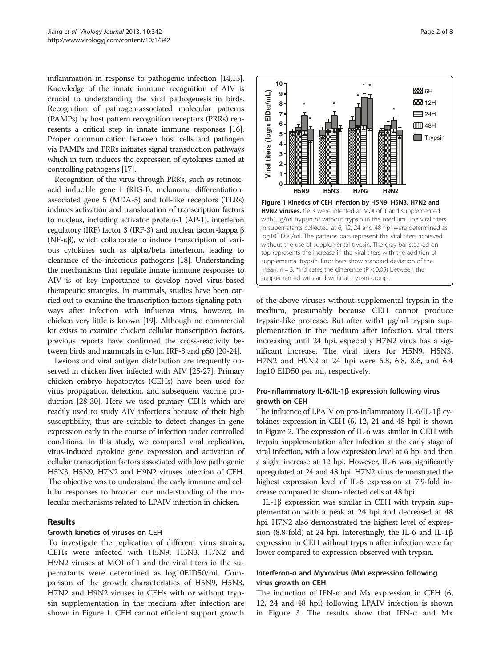inflammation in response to pathogenic infection [[14,15](#page-6-0)]. Knowledge of the innate immune recognition of AIV is crucial to understanding the viral pathogenesis in birds. Recognition of pathogen-associated molecular patterns (PAMPs) by host pattern recognition receptors (PRRs) represents a critical step in innate immune responses [\[16](#page-6-0)]. Proper communication between host cells and pathogen via PAMPs and PRRs initiates signal transduction pathways which in turn induces the expression of cytokines aimed at controlling pathogens [\[17\]](#page-6-0).

Recognition of the virus through PRRs, such as retinoicacid inducible gene I (RIG-I), melanoma differentiationassociated gene 5 (MDA-5) and toll-like receptors (TLRs) induces activation and translocation of transcription factors to nucleus, including activator protein-1 (AP-1), interferon regulatory (IRF) factor 3 (IRF-3) and nuclear factor-kappa β (NF-κβ), which collaborate to induce transcription of various cytokines such as alpha/beta interferon, leading to clearance of the infectious pathogens [\[18](#page-6-0)]. Understanding the mechanisms that regulate innate immune responses to AIV is of key importance to develop novel virus-based therapeutic strategies. In mammals, studies have been carried out to examine the transcription factors signaling pathways after infection with influenza virus, however, in chicken very little is known [\[19](#page-6-0)]. Although no commercial kit exists to examine chicken cellular transcription factors, previous reports have confirmed the cross-reactivity between birds and mammals in c-Jun, IRF-3 and p50 [\[20](#page-6-0)-[24](#page-6-0)].

Lesions and viral antigen distribution are frequently observed in chicken liver infected with AIV [[25-27\]](#page-6-0). Primary chicken embryo hepatocytes (CEHs) have been used for virus propagation, detection, and subsequent vaccine production [\[28-30](#page-6-0)]. Here we used primary CEHs which are readily used to study AIV infections because of their high susceptibility, thus are suitable to detect changes in gene expression early in the course of infection under controlled conditions. In this study, we compared viral replication, virus-induced cytokine gene expression and activation of cellular transcription factors associated with low pathogenic H5N3, H5N9, H7N2 and H9N2 viruses infection of CEH. The objective was to understand the early immune and cellular responses to broaden our understanding of the molecular mechanisms related to LPAIV infection in chicken.

# Results

# Growth kinetics of viruses on CEH

To investigate the replication of different virus strains, CEHs were infected with H5N9, H5N3, H7N2 and H9N2 viruses at MOI of 1 and the viral titers in the supernatants were determined as log10EID50/ml. Comparison of the growth characteristics of H5N9, H5N3, H7N2 and H9N2 viruses in CEHs with or without trypsin supplementation in the medium after infection are shown in Figure 1. CEH cannot efficient support growth



of the above viruses without supplemental trypsin in the medium, presumably because CEH cannot produce trypsin-like protease. But after with1 μg/ml trypsin supplementation in the medium after infection, viral titers increasing until 24 hpi, especially H7N2 virus has a significant increase. The viral titers for H5N9, H5N3, H7N2 and H9N2 at 24 hpi were 6.8, 6.8, 8.6, and 6.4 log10 EID50 per ml, respectively.

# Pro-inflammatory IL-6/IL-1β expression following virus growth on CEH

The influence of LPAIV on pro-inflammatory IL-6/IL-1β cytokines expression in CEH (6, 12, 24 and 48 hpi) is shown in Figure [2.](#page-2-0) The expression of IL-6 was similar in CEH with trypsin supplementation after infection at the early stage of viral infection, with a low expression level at 6 hpi and then a slight increase at 12 hpi. However, IL-6 was significantly upregulated at 24 and 48 hpi. H7N2 virus demonstrated the highest expression level of IL-6 expression at 7.9-fold increase compared to sham-infected cells at 48 hpi.

IL-1β expression was similar in CEH with trypsin supplementation with a peak at 24 hpi and decreased at 48 hpi. H7N2 also demonstrated the highest level of expression (8.8-fold) at 24 hpi. Interestingly, the IL-6 and IL-1β expression in CEH without trypsin after infection were far lower compared to expression observed with trypsin.

# Interferon-α and Myxovirus (Mx) expression following virus growth on CEH

The induction of IFN- $\alpha$  and Mx expression in CEH (6, 12, 24 and 48 hpi) following LPAIV infection is shown in Figure [3.](#page-2-0) The results show that IFN- $\alpha$  and Mx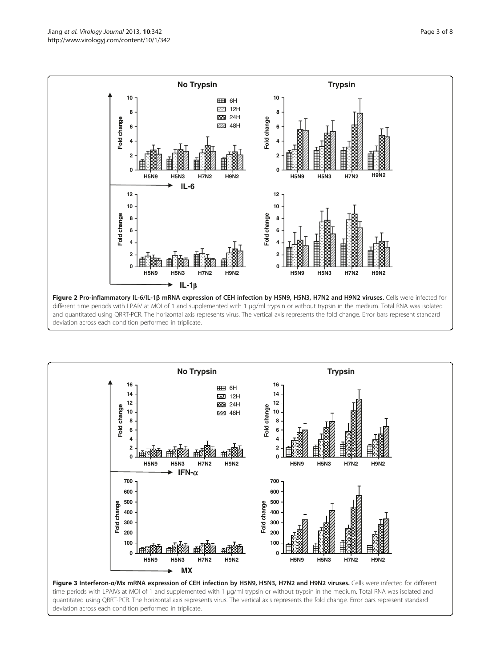<span id="page-2-0"></span>

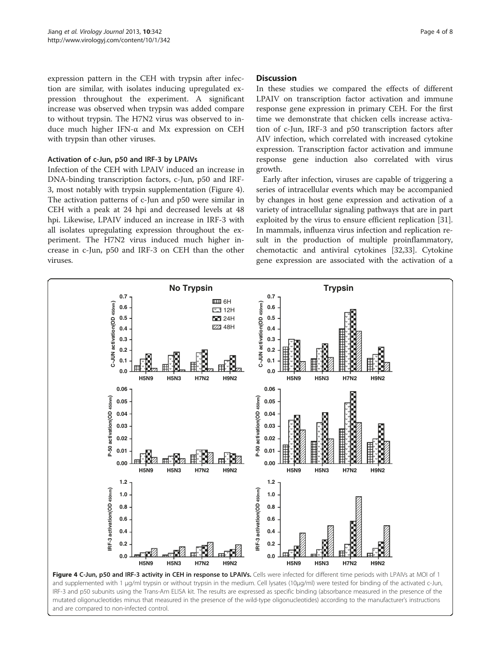expression pattern in the CEH with trypsin after infection are similar, with isolates inducing upregulated expression throughout the experiment. A significant increase was observed when trypsin was added compare to without trypsin. The H7N2 virus was observed to induce much higher IFN-α and Mx expression on CEH with trypsin than other viruses.

### Activation of c-Jun, p50 and IRF-3 by LPAIVs

Infection of the CEH with LPAIV induced an increase in DNA-binding transcription factors, c-Jun, p50 and IRF-3, most notably with trypsin supplementation (Figure 4). The activation patterns of c-Jun and p50 were similar in CEH with a peak at 24 hpi and decreased levels at 48 hpi. Likewise, LPAIV induced an increase in IRF-3 with all isolates upregulating expression throughout the experiment. The H7N2 virus induced much higher increase in c-Jun, p50 and IRF-3 on CEH than the other viruses.

#### Discussion

In these studies we compared the effects of different LPAIV on transcription factor activation and immune response gene expression in primary CEH. For the first time we demonstrate that chicken cells increase activation of c-Jun, IRF-3 and p50 transcription factors after AIV infection, which correlated with increased cytokine expression. Transcription factor activation and immune response gene induction also correlated with virus growth.

Early after infection, viruses are capable of triggering a series of intracellular events which may be accompanied by changes in host gene expression and activation of a variety of intracellular signaling pathways that are in part exploited by the virus to ensure efficient replication [\[31](#page-6-0)]. In mammals, influenza virus infection and replication result in the production of multiple proinflammatory, chemotactic and antiviral cytokines [[32](#page-6-0),[33](#page-6-0)]. Cytokine gene expression are associated with the activation of a



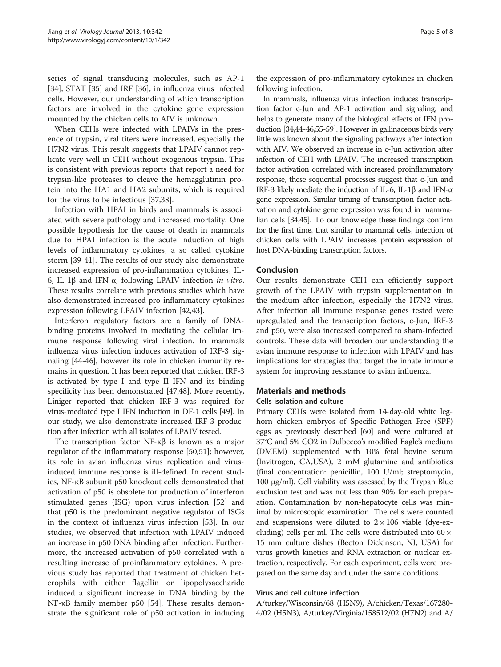series of signal transducing molecules, such as AP-1 [[34\]](#page-6-0), STAT [[35\]](#page-6-0) and IRF [\[36](#page-6-0)], in influenza virus infected cells. However, our understanding of which transcription factors are involved in the cytokine gene expression mounted by the chicken cells to AIV is unknown.

When CEHs were infected with LPAIVs in the presence of trypsin, viral titers were increased, especially the H7N2 virus. This result suggests that LPAIV cannot replicate very well in CEH without exogenous trypsin. This is consistent with previous reports that report a need for trypsin-like proteases to cleave the hemagglutinin protein into the HA1 and HA2 subunits, which is required for the virus to be infectious [\[37,38](#page-6-0)].

Infection with HPAI in birds and mammals is associated with severe pathology and increased mortality. One possible hypothesis for the cause of death in mammals due to HPAI infection is the acute induction of high levels of inflammatory cytokines, a so called cytokine storm [[39-](#page-6-0)[41](#page-7-0)]. The results of our study also demonstrate increased expression of pro-inflammation cytokines, IL-6, IL-1β and IFN-α, following LPAIV infection in vitro. These results correlate with previous studies which have also demonstrated increased pro-inflammatory cytokines expression following LPAIV infection [\[42,43\]](#page-7-0).

Interferon regulatory factors are a family of DNAbinding proteins involved in mediating the cellular immune response following viral infection. In mammals influenza virus infection induces activation of IRF-3 signaling [\[44-46\]](#page-7-0), however its role in chicken immunity remains in question. It has been reported that chicken IRF-3 is activated by type I and type II IFN and its binding specificity has been demonstrated [\[47,48](#page-7-0)]. More recently, Liniger reported that chicken IRF-3 was required for virus-mediated type I IFN induction in DF-1 cells [\[49\]](#page-7-0). In our study, we also demonstrate increased IRF-3 production after infection with all isolates of LPAIV tested.

The transcription factor NF-κβ is known as a major regulator of the inflammatory response [\[50,51](#page-7-0)]; however, its role in avian influenza virus replication and virusinduced immune response is ill-defined. In recent studies, NF-κB subunit p50 knockout cells demonstrated that activation of p50 is obsolete for production of interferon stimulated genes (ISG) upon virus infection [\[52\]](#page-7-0) and that p50 is the predominant negative regulator of ISGs in the context of influenza virus infection [[53](#page-7-0)]. In our studies, we observed that infection with LPAIV induced an increase in p50 DNA binding after infection. Furthermore, the increased activation of p50 correlated with a resulting increase of proinflammatory cytokines. A previous study has reported that treatment of chicken heterophils with either flagellin or lipopolysaccharide induced a significant increase in DNA binding by the NF-κB family member p50 [[54\]](#page-7-0). These results demonstrate the significant role of p50 activation in inducing

the expression of pro-inflammatory cytokines in chicken following infection.

In mammals, influenza virus infection induces transcription factor c-Jun and AP-1 activation and signaling, and helps to generate many of the biological effects of IFN production [[34](#page-6-0)[,44](#page-7-0)-[46,55-59\]](#page-7-0). However in gallinaceous birds very little was known about the signaling pathways after infection with AIV. We observed an increase in c-Jun activation after infection of CEH with LPAIV. The increased transcription factor activation correlated with increased proinflammatory response, these sequential processes suggest that c-Jun and IRF-3 likely mediate the induction of IL-6, IL-1β and IFN-α gene expression. Similar timing of transcription factor activation and cytokine gene expression was found in mammalian cells [\[34](#page-6-0)[,45\]](#page-7-0). To our knowledge these findings confirm for the first time, that similar to mammal cells, infection of chicken cells with LPAIV increases protein expression of host DNA-binding transcription factors.

## Conclusion

Our results demonstrate CEH can efficiently support growth of the LPAIV with trypsin supplementation in the medium after infection, especially the H7N2 virus. After infection all immune response genes tested were upregulated and the transcription factors, c-Jun, IRF-3 and p50, were also increased compared to sham-infected controls. These data will broaden our understanding the avian immune response to infection with LPAIV and has implications for strategies that target the innate immune system for improving resistance to avian influenza.

#### Materials and methods

#### Cells isolation and culture

Primary CEHs were isolated from 14-day-old white leghorn chicken embryos of Specific Pathogen Free (SPF) eggs as previously described [\[60](#page-7-0)] and were cultured at 37°C and 5% CO2 in Dulbecco's modified Eagle's medium (DMEM) supplemented with 10% fetal bovine serum (Invitrogen, CA,USA), 2 mM glutamine and antibiotics (final concentration: penicillin, 100 U/ml; streptomycin, 100 μg/ml). Cell viability was assessed by the Trypan Blue exclusion test and was not less than 90% for each preparation. Contamination by non-hepatocyte cells was minimal by microscopic examination. The cells were counted and suspensions were diluted to  $2 \times 106$  viable (dye-excluding) cells per ml. The cells were distributed into  $60 \times$ 15 mm culture dishes (Becton Dickinson, NJ, USA) for virus growth kinetics and RNA extraction or nuclear extraction, respectively. For each experiment, cells were prepared on the same day and under the same conditions.

#### Virus and cell culture infection

A/turkey/Wisconsin/68 (H5N9), A/chicken/Texas/167280- 4/02 (H5N3), A/turkey/Virginia/158512/02 (H7N2) and A/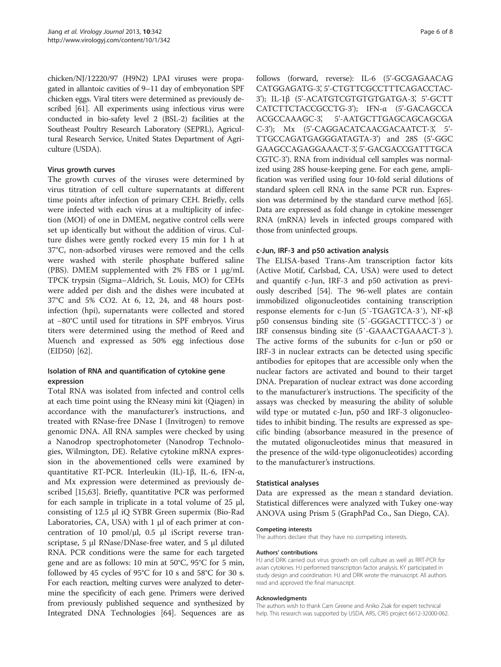chicken/NJ/12220/97 (H9N2) LPAI viruses were propagated in allantoic cavities of 9–11 day of embryonation SPF chicken eggs. Viral titers were determined as previously described [\[61\]](#page-7-0). All experiments using infectious virus were conducted in bio-safety level 2 (BSL-2) facilities at the Southeast Poultry Research Laboratory (SEPRL), Agricultural Research Service, United States Department of Agriculture (USDA).

## Virus growth curves

The growth curves of the viruses were determined by virus titration of cell culture supernatants at different time points after infection of primary CEH. Briefly, cells were infected with each virus at a multiplicity of infection (MOI) of one in DMEM, negative control cells were set up identically but without the addition of virus. Culture dishes were gently rocked every 15 min for 1 h at 37°C, non-adsorbed viruses were removed and the cells were washed with sterile phosphate buffered saline (PBS). DMEM supplemented with 2% FBS or 1 μg/mL TPCK trypsin (Sigma–Aldrich, St. Louis, MO) for CEHs were added per dish and the dishes were incubated at 37°C and 5% CO2. At 6, 12, 24, and 48 hours postinfection (hpi), supernatants were collected and stored at −80°C until used for titrations in SPF embryos. Virus titers were determined using the method of Reed and Muench and expressed as 50% egg infectious dose (EID50) [[62\]](#page-7-0).

# Isolation of RNA and quantification of cytokine gene expression

Total RNA was isolated from infected and control cells at each time point using the RNeasy mini kit (Qiagen) in accordance with the manufacturer's instructions, and treated with RNase-free DNase I (Invitrogen) to remove genomic DNA. All RNA samples were checked by using a Nanodrop spectrophotometer (Nanodrop Technologies, Wilmington, DE). Relative cytokine mRNA expression in the abovementioned cells were examined by quantitative RT-PCR. Interleukin (IL)-1β, IL-6, IFN-α, and Mx expression were determined as previously described [[15](#page-6-0),[63](#page-7-0)]. Briefly, quantitative PCR was performed for each sample in triplicate in a total volume of 25 μl, consisting of 12.5 μl iQ SYBR Green supermix (Bio-Rad Laboratories,  $CA$ , USA) with 1  $\mu$ l of each primer at concentration of 10 pmol/ $\mu$ l, 0.5  $\mu$ l iScript reverse transcriptase, 5 μl RNase/DNase-free water, and 5 μl diluted RNA. PCR conditions were the same for each targeted gene and are as follows: 10 min at 50°C, 95°C for 5 min, followed by 45 cycles of 95°C for 10 s and 58°C for 30 s. For each reaction, melting curves were analyzed to determine the specificity of each gene. Primers were derived from previously published sequence and synthesized by Integrated DNA Technologies [\[64\]](#page-7-0). Sequences are as follows (forward, reverse): IL-6 (5'-GCGAGAACAG CATGGAGATG-3', 5'-CTGTTCGCCTTTCAGACCTAC-3'); IL-1β (5'-ACATGTCGTGTGTGATGA-3', 5'-GCTT CATCTTCTACCGCCTG-3'); IFN-α (5'-GACAGCCA ACGCCAAAGC-3', 5'-AATGCTTGAGCAGCAGCGA C-3'); Mx (5'-CAGGACATCAACGACAATCT-3', 5'- TTGCCAGATGAGGGATAGTA-3') and 28S (5'-GGC GAAGCCAGAGGAAACT-3', 5'-GACGACCGATTTGCA CGTC-3'). RNA from individual cell samples was normalized using 28S house-keeping gene. For each gene, amplification was verified using four 10-fold serial dilutions of standard spleen cell RNA in the same PCR run. Expression was determined by the standard curve method [[65](#page-7-0)]. Data are expressed as fold change in cytokine messenger RNA (mRNA) levels in infected groups compared with those from uninfected groups.

## c-Jun, IRF-3 and p50 activation analysis

The ELISA-based Trans-Am transcription factor kits (Active Motif, Carlsbad, CA, USA) were used to detect and quantify c-Jun, IRF-3 and p50 activation as previously described [\[54\]](#page-7-0). The 96-well plates are contain immobilized oligonucleotides containing transcription response elements for c-Jun (5′-TGAGTCA-3′), NF-κβ p50 consensus binding site (5′-GGGACTTTCC-3′) or IRF consensus binding site (5′-GAAACTGAAACT-3′). The active forms of the subunits for c-Jun or p50 or IRF-3 in nuclear extracts can be detected using specific antibodies for epitopes that are accessible only when the nuclear factors are activated and bound to their target DNA. Preparation of nuclear extract was done according to the manufacturer's instructions. The specificity of the assays was checked by measuring the ability of soluble wild type or mutated c-Jun, p50 and IRF-3 oligonucleotides to inhibit binding. The results are expressed as specific binding (absorbance measured in the presence of the mutated oligonucleotides minus that measured in the presence of the wild-type oligonucleotides) according to the manufacturer's instructions.

## Statistical analyses

Data are expressed as the mean ± standard deviation. Statistical differences were analyzed with Tukey one-way ANOVA using Prism 5 (GraphPad Co., San Diego, CA).

#### Competing interests

The authors declare that they have no competing interests.

#### Authors' contributions

HJ and DRK carried out virus growth on cell culture as well as RRT-PCR for avian cytokines. HJ performed transcription factor analysis. KY participated in study design and coordination. HJ and DRK wrote the manuscript. All authors read and approved the final manuscript.

#### Acknowledgments

The authors wish to thank Cam Greene and Aniko Zsak for expert technical help. This research was supported by USDA, ARS, CRIS project 6612-32000-062.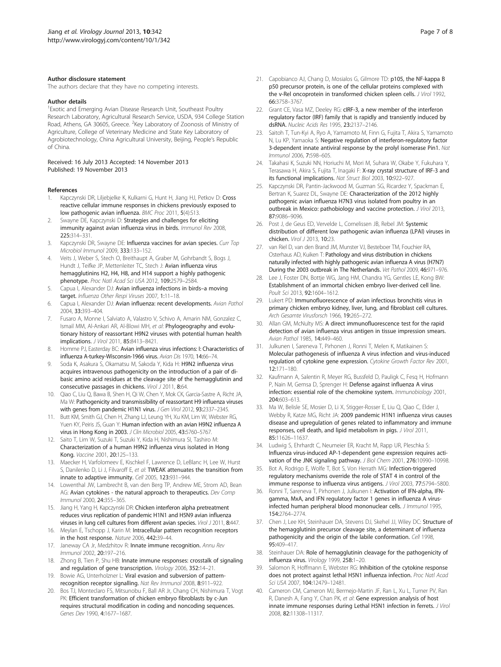#### <span id="page-6-0"></span>Author disclosure statement

The authors declare that they have no competing interests.

#### Author details

<sup>1</sup> Exotic and Emerging Avian Disease Research Unit, Southeast Poultry Research Laboratory, Agricultural Research Service, USDA, 934 College Station Road, Athens, GA 30605, Greece. <sup>2</sup>Key Laboratory of Zoonosis of Ministry of Agriculture, College of Veterinary Medicine and State Key Laboratory of Agrobiotechnology, China Agricultural University, Beijing, People's Republic of China.

#### Received: 16 July 2013 Accepted: 14 November 2013 Published: 19 November 2013

#### References

- 1. Kapczynski DR, Liljebjelke K, Kulkarni G, Hunt H, Jiang HJ, Petkov D: Cross reactive cellular immune responses in chickens previously exposed to low pathogenic avian influenza. BMC Proc 2011, 5(4):S13.
- Swayne DE, Kapczynski D: Strategies and challenges for eliciting immunity against avian influenza virus in birds. Immunol Rev 2008, 225:314–331.
- 3. Kapczynski DR, Swayne DE: Influenza vaccines for avian species. Curr Top Microbiol Immunol 2009, 333:133–152.
- 4. Veits J, Weber S, Stech O, Breithaupt A, Graber M, Gohrbandt S, Bogs J, Hundt J, Teifke JP, Mettenleiter TC, Stech J: Avian influenza virus hemagglutinins H2, H4, H8, and H14 support a highly pathogenic phenotype. Proc Natl Acad Sci USA 2012, 109:2579–2584.
- 5. Capua I, Alexander DJ: Avian influenza infections in birds–a moving target. Influenza Other Respi Viruses 2007, 1:11-18.
- 6. Capua I, Alexander DJ: Avian influenza: recent developments. Avian Pathol 2004, 33:393–404.
- 7. Fusaro A, Monne I, Salviato A, Valastro V, Schivo A, Amarin NM, Gonzalez C, Ismail MM, Al-Ankari AR, Al-Blowi MH, et al: Phylogeography and evolutionary history of reassortant H9N2 viruses with potential human health implications. J Virol 2011, 85:8413–8421.
- 8. Homme PJ, Easterday BC: Avian influenza virus infections: I: Characteristics of influenza A-turkey-Wisconsin-1966 virus. Avian Dis 1970, 14:66–74.
- 9. Soda K, Asakura S, Okamatsu M, Sakoda Y, Kida H: H9N2 influenza virus acquires intravenous pathogenicity on the introduction of a pair of dibasic amino acid residues at the cleavage site of the hemagglutinin and consecutive passages in chickens. Virol J 2011, 8:64.
- 10. Qiao C, Liu Q, Bawa B, Shen H, Qi W, Chen Y, Mok CK, Garcia-Sastre A, Richt JA, Ma W: Pathogenicity and transmissibility of reassortant H9 influenza viruses with genes from pandemic H1N1 virus. J Gen Virol 2012, 93:2337-2345.
- 11. Butt KM, Smith GJ, Chen H, Zhang LJ, Leung YH, Xu KM, Lim W, Webster RG, Yuen KY, Peiris JS, Guan Y: Human infection with an avian H9N2 influenza A virus in Hong Kong in 2003. J Clin Microbiol 2005, 43:5760–5767.
- 12. Saito T, Lim W, Suzuki T, Suzuki Y, Kida H, Nishimura SI, Tashiro M: Characterization of a human H9N2 influenza virus isolated in Hong Kong. Vaccine 2001, 20:125–133.
- 13. Maecker H, Varfolomeev E, Kischkel F, Lawrence D, LeBlanc H, Lee W, Hurst S, Danilenko D, Li J, Filvaroff E, et al: TWEAK attenuates the transition from innate to adaptive immunity. Cell 2005, 123:931–944.
- 14. Lowenthal JW, Lambrecht B, van den Berg TP, Andrew ME, Strom AD, Bean AG: Avian cytokines - the natural approach to therapeutics. Dev Comp Immunol 2000, 24:355–365.
- 15. Jiang H, Yang H, Kapczynski DR: Chicken interferon alpha pretreatment reduces virus replication of pandemic H1N1 and H5N9 avian influenza viruses in lung cell cultures from different avian species. Virol J 2011, 8:447.
- 16. Meylan E, Tschopp J, Karin M: Intracellular pattern recognition receptors in the host response. Nature 2006, 442:39–44.
- 17. Janeway CA Jr, Medzhitov R: Innate immune recognition. Annu Rev Immunol 2002, 20:197–216.
- 18. Zhong B, Tien P, Shu HB: Innate immune responses: crosstalk of signaling and regulation of gene transcription. Virology 2006, 352:14-21
- 19. Bowie AG, Unterholzner L: Viral evasion and subversion of patternrecognition receptor signalling. Nat Rev Immunol 2008, 8:911–922.
- 20. Bos TJ, Monteclaro FS, Mitsunobu F, Ball AR Jr, Chang CH, Nishimura T, Vogt PK: Efficient transformation of chicken embryo fibroblasts by c-Jun requires structural modification in coding and noncoding sequences. Genes Dev 1990, 4:1677–1687.
- 21. Capobianco AJ, Chang D, Mosialos G, Gilmore TD: p105, the NF-kappa B p50 precursor protein, is one of the cellular proteins complexed with the v-Rel oncoprotein in transformed chicken spleen cells. J Virol 1992, 66:3758–3767.
- 22. Grant CE, Vasa MZ, Deeley RG: cIRF-3, a new member of the interferon regulatory factor (IRF) family that is rapidly and transiently induced by dsRNA. Nucleic Acids Res 1995, 23:2137–2146.
- 23. Saitoh T, Tun-Kyi A, Ryo A, Yamamoto M, Finn G, Fujita T, Akira S, Yamamoto N, Lu KP, Yamaoka S: Negative regulation of interferon-regulatory factor 3-dependent innate antiviral response by the prolyl isomerase Pin1. Nat Immunol 2006, 7:598–605.
- 24. Takahasi K, Suzuki NN, Horiuchi M, Mori M, Suhara W, Okabe Y, Fukuhara Y, Terasawa H, Akira S, Fujita T, Inagaki F: X-ray crystal structure of IRF-3 and its functional implications. Nat Struct Biol 2003, 10:922–927.
- 25. Kapczynski DR, Pantin-Jackwood M, Guzman SG, Ricardez Y, Spackman E, Bertran K, Suarez DL, Swayne DE: Characterization of the 2012 highly pathogenic avian influenza H7N3 virus isolated from poultry in an outbreak in Mexico: pathobiology and vaccine protection. J Virol 2013, 87:9086–9096.
- 26. Post J, de Geus ED, Vervelde L, Cornelissen JB, Rebel JM: Systemic distribution of different low pathogenic avian influenza (LPAI) viruses in chicken. Virol J 2013, 10:23.
- 27. van Riel D, van den Brand JM, Munster VJ, Besteboer TM, Fouchier RA, Osterhaus AD, Kuiken T: Pathology and virus distribution in chickens naturally infected with highly pathogenic avian influenza A virus (H7N7) During the 2003 outbreak in The Netherlands. Vet Pathol 2009, 46:971–976.
- 28. Lee J, Foster DN, Bottje WG, Jang HM, Chandra YG, Gentles LE, Kong BW: Establishment of an immortal chicken embryo liver-derived cell line. Poult Sci 2013, 92:1604–1612.
- 29. Lukert PD: Immunofluorescence of avian infectious bronchitis virus in primary chicken embryo kidney, liver, lung, and fibroblast cell cultures. Arch Gesamte Virusforsch 1966, 19:265–272.
- 30. Allan GM, McNulty MS: A direct immunofluorescence test for the rapid detection of avian influenza virus antigen in tissue impression smears. Avian Pathol 1985 14:449-460
- 31. Julkunen I, Sareneva T, Pirhonen J, Ronni T, Melen K, Matikainen S: Molecular pathogenesis of influenza A virus infection and virus-induced regulation of cytokine gene expression. Cytokine Growth Factor Rev 2001, 12:171–180.
- 32. Kaufmann A, Salentin R, Meyer RG, Bussfeld D, Pauligk C, Fesq H, Hofmann P, Nain M, Gemsa D, Sprenger H: Defense against influenza A virus infection: essential role of the chemokine system. Immunobiology 2001, 204:603–613.
- 33. Ma W, Belisle SE, Mosier D, Li X, Stigger-Rosser E, Liu Q, Qiao C, Elder J, Webby R, Katze MG, Richt JA: 2009 pandemic H1N1 influenza virus causes disease and upregulation of genes related to inflammatory and immune responses, cell death, and lipid metabolism in pigs. J Virol 2011, 85:11626–11637.
- 34. Ludwig S, Ehrhardt C, Neumeier ER, Kracht M, Rapp UR, Pleschka S: Influenza virus-induced AP-1-dependent gene expression requires activation of the JNK signaling pathway. J Biol Chem 2001, 276:10990–10998.
- 35. Bot A, Rodrigo E, Wolfe T, Bot S, Von Herrath MG: Infection-triggered regulatory mechanisms override the role of STAT 4 in control of the immune response to influenza virus antigens. J Virol 2003, 77:5794–5800.
- 36. Ronni T, Sareneva T, Pirhonen J, Julkunen I: Activation of IFN-alpha, IFNgamma, MxA, and IFN regulatory factor 1 genes in influenza A virusinfected human peripheral blood mononuclear cells. J Immunol 1995, 154:2764–2774.
- 37. Chen J, Lee KH, Steinhauer DA, Stevens DJ, Skehel JJ, Wiley DC: Structure of the hemagglutinin precursor cleavage site, a determinant of influenza pathogenicity and the origin of the labile conformation. Cell 1998, 95:409–417.
- 38. Steinhauer DA: Role of hemagglutinin cleavage for the pathogenicity of influenza virus. Virology 1999, 258:1–20.
- 39. Salomon R, Hoffmann E, Webster RG: Inhibition of the cytokine response does not protect against lethal H5N1 influenza infection. Proc Natl Acad Sci USA 2007, 104:12479–12481.
- 40. Cameron CM, Cameron MJ, Bermejo-Martin JF, Ran L, Xu L, Turner PV, Ran R, Danesh A, Fang Y, Chan PK, et al: Gene expression analysis of host innate immune responses during Lethal H5N1 infection in ferrets. J Virol 2008, 82:11308–11317.